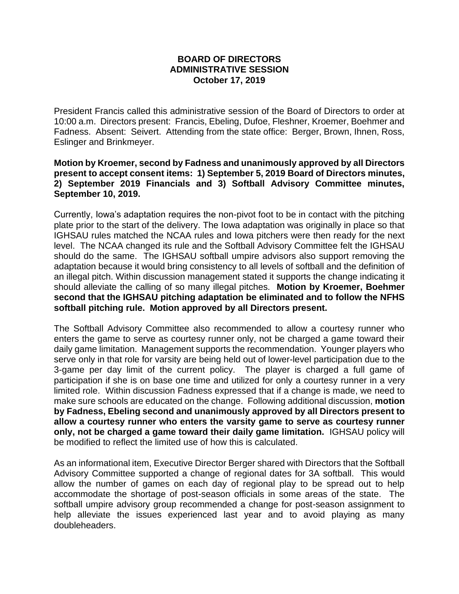## **BOARD OF DIRECTORS ADMINISTRATIVE SESSION October 17, 2019**

President Francis called this administrative session of the Board of Directors to order at 10:00 a.m. Directors present: Francis, Ebeling, Dufoe, Fleshner, Kroemer, Boehmer and Fadness. Absent: Seivert. Attending from the state office: Berger, Brown, Ihnen, Ross, Eslinger and Brinkmeyer.

## **Motion by Kroemer, second by Fadness and unanimously approved by all Directors present to accept consent items: 1) September 5, 2019 Board of Directors minutes, 2) September 2019 Financials and 3) Softball Advisory Committee minutes, September 10, 2019.**

Currently, Iowa's adaptation requires the non-pivot foot to be in contact with the pitching plate prior to the start of the delivery. The Iowa adaptation was originally in place so that IGHSAU rules matched the NCAA rules and Iowa pitchers were then ready for the next level. The NCAA changed its rule and the Softball Advisory Committee felt the IGHSAU should do the same. The IGHSAU softball umpire advisors also support removing the adaptation because it would bring consistency to all levels of softball and the definition of an illegal pitch. Within discussion management stated it supports the change indicating it should alleviate the calling of so many illegal pitches. **Motion by Kroemer, Boehmer second that the IGHSAU pitching adaptation be eliminated and to follow the NFHS softball pitching rule. Motion approved by all Directors present.**

The Softball Advisory Committee also recommended to allow a courtesy runner who enters the game to serve as courtesy runner only, not be charged a game toward their daily game limitation. Management supports the recommendation. Younger players who serve only in that role for varsity are being held out of lower-level participation due to the 3-game per day limit of the current policy. The player is charged a full game of participation if she is on base one time and utilized for only a courtesy runner in a very limited role. Within discussion Fadness expressed that if a change is made, we need to make sure schools are educated on the change. Following additional discussion, **motion by Fadness, Ebeling second and unanimously approved by all Directors present to allow a courtesy runner who enters the varsity game to serve as courtesy runner only, not be charged a game toward their daily game limitation.** IGHSAU policy will be modified to reflect the limited use of how this is calculated.

As an informational item, Executive Director Berger shared with Directors that the Softball Advisory Committee supported a change of regional dates for 3A softball. This would allow the number of games on each day of regional play to be spread out to help accommodate the shortage of post-season officials in some areas of the state. The softball umpire advisory group recommended a change for post-season assignment to help alleviate the issues experienced last year and to avoid playing as many doubleheaders.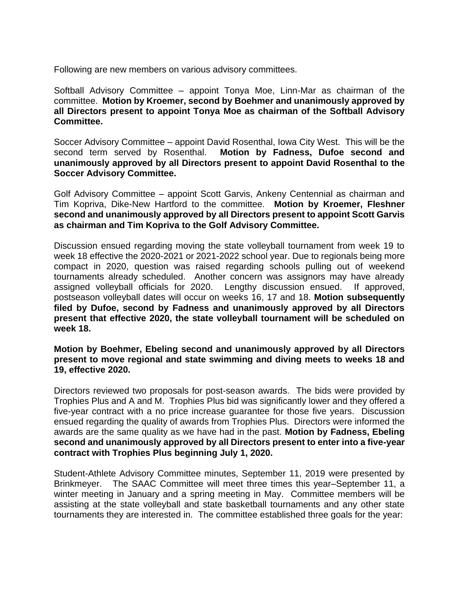Following are new members on various advisory committees.

Softball Advisory Committee – appoint Tonya Moe, Linn-Mar as chairman of the committee. **Motion by Kroemer, second by Boehmer and unanimously approved by all Directors present to appoint Tonya Moe as chairman of the Softball Advisory Committee.**

Soccer Advisory Committee – appoint David Rosenthal, Iowa City West. This will be the second term served by Rosenthal. **Motion by Fadness, Dufoe second and unanimously approved by all Directors present to appoint David Rosenthal to the Soccer Advisory Committee.**

Golf Advisory Committee – appoint Scott Garvis, Ankeny Centennial as chairman and Tim Kopriva, Dike-New Hartford to the committee. **Motion by Kroemer, Fleshner second and unanimously approved by all Directors present to appoint Scott Garvis as chairman and Tim Kopriva to the Golf Advisory Committee.** 

Discussion ensued regarding moving the state volleyball tournament from week 19 to week 18 effective the 2020-2021 or 2021-2022 school year. Due to regionals being more compact in 2020, question was raised regarding schools pulling out of weekend tournaments already scheduled. Another concern was assignors may have already assigned volleyball officials for 2020. Lengthy discussion ensued. If approved, postseason volleyball dates will occur on weeks 16, 17 and 18. **Motion subsequently filed by Dufoe, second by Fadness and unanimously approved by all Directors present that effective 2020, the state volleyball tournament will be scheduled on week 18.**

**Motion by Boehmer, Ebeling second and unanimously approved by all Directors present to move regional and state swimming and diving meets to weeks 18 and 19, effective 2020.**

Directors reviewed two proposals for post-season awards. The bids were provided by Trophies Plus and A and M. Trophies Plus bid was significantly lower and they offered a five-year contract with a no price increase guarantee for those five years. Discussion ensued regarding the quality of awards from Trophies Plus. Directors were informed the awards are the same quality as we have had in the past. **Motion by Fadness, Ebeling second and unanimously approved by all Directors present to enter into a five-year contract with Trophies Plus beginning July 1, 2020.**

Student-Athlete Advisory Committee minutes, September 11, 2019 were presented by Brinkmeyer. The SAAC Committee will meet three times this year–September 11, a winter meeting in January and a spring meeting in May. Committee members will be assisting at the state volleyball and state basketball tournaments and any other state tournaments they are interested in. The committee established three goals for the year: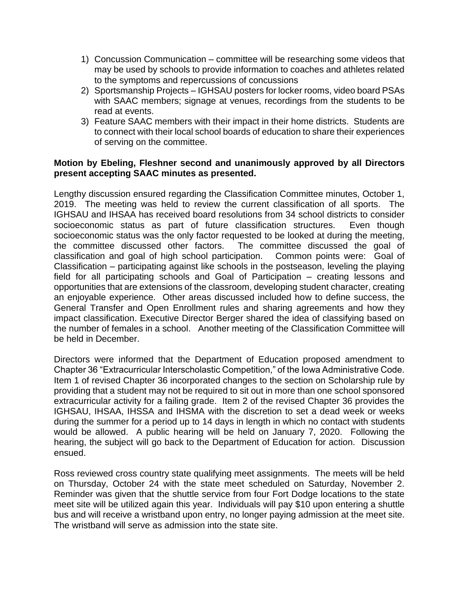- 1) Concussion Communication committee will be researching some videos that may be used by schools to provide information to coaches and athletes related to the symptoms and repercussions of concussions
- 2) Sportsmanship Projects IGHSAU posters for locker rooms, video board PSAs with SAAC members; signage at venues, recordings from the students to be read at events.
- 3) Feature SAAC members with their impact in their home districts. Students are to connect with their local school boards of education to share their experiences of serving on the committee.

## **Motion by Ebeling, Fleshner second and unanimously approved by all Directors present accepting SAAC minutes as presented.**

Lengthy discussion ensured regarding the Classification Committee minutes, October 1, 2019. The meeting was held to review the current classification of all sports. The IGHSAU and IHSAA has received board resolutions from 34 school districts to consider socioeconomic status as part of future classification structures. Even though socioeconomic status was the only factor requested to be looked at during the meeting, the committee discussed other factors. The committee discussed the goal of classification and goal of high school participation. Common points were: Goal of Classification – participating against like schools in the postseason, leveling the playing field for all participating schools and Goal of Participation – creating lessons and opportunities that are extensions of the classroom, developing student character, creating an enjoyable experience. Other areas discussed included how to define success, the General Transfer and Open Enrollment rules and sharing agreements and how they impact classification. Executive Director Berger shared the idea of classifying based on the number of females in a school. Another meeting of the Classification Committee will be held in December.

Directors were informed that the Department of Education proposed amendment to Chapter 36 "Extracurricular Interscholastic Competition," of the Iowa Administrative Code. Item 1 of revised Chapter 36 incorporated changes to the section on Scholarship rule by providing that a student may not be required to sit out in more than one school sponsored extracurricular activity for a failing grade. Item 2 of the revised Chapter 36 provides the IGHSAU, IHSAA, IHSSA and IHSMA with the discretion to set a dead week or weeks during the summer for a period up to 14 days in length in which no contact with students would be allowed. A public hearing will be held on January 7, 2020. Following the hearing, the subject will go back to the Department of Education for action. Discussion ensued.

Ross reviewed cross country state qualifying meet assignments. The meets will be held on Thursday, October 24 with the state meet scheduled on Saturday, November 2. Reminder was given that the shuttle service from four Fort Dodge locations to the state meet site will be utilized again this year. Individuals will pay \$10 upon entering a shuttle bus and will receive a wristband upon entry, no longer paying admission at the meet site. The wristband will serve as admission into the state site.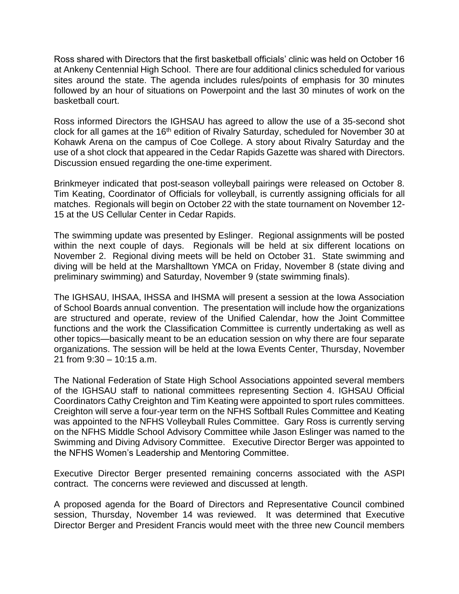Ross shared with Directors that the first basketball officials' clinic was held on October 16 at Ankeny Centennial High School. There are four additional clinics scheduled for various sites around the state. The agenda includes rules/points of emphasis for 30 minutes followed by an hour of situations on Powerpoint and the last 30 minutes of work on the basketball court.

Ross informed Directors the IGHSAU has agreed to allow the use of a 35-second shot clock for all games at the 16<sup>th</sup> edition of Rivalry Saturday, scheduled for November 30 at Kohawk Arena on the campus of Coe College. A story about Rivalry Saturday and the use of a shot clock that appeared in the Cedar Rapids Gazette was shared with Directors. Discussion ensued regarding the one-time experiment.

Brinkmeyer indicated that post-season volleyball pairings were released on October 8. Tim Keating, Coordinator of Officials for volleyball, is currently assigning officials for all matches. Regionals will begin on October 22 with the state tournament on November 12- 15 at the US Cellular Center in Cedar Rapids.

The swimming update was presented by Eslinger. Regional assignments will be posted within the next couple of days. Regionals will be held at six different locations on November 2. Regional diving meets will be held on October 31. State swimming and diving will be held at the Marshalltown YMCA on Friday, November 8 (state diving and preliminary swimming) and Saturday, November 9 (state swimming finals).

The IGHSAU, IHSAA, IHSSA and IHSMA will present a session at the Iowa Association of School Boards annual convention. The presentation will include how the organizations are structured and operate, review of the Unified Calendar, how the Joint Committee functions and the work the Classification Committee is currently undertaking as well as other topics—basically meant to be an education session on why there are four separate organizations. The session will be held at the Iowa Events Center, Thursday, November 21 from 9:30 – 10:15 a.m.

The National Federation of State High School Associations appointed several members of the IGHSAU staff to national committees representing Section 4. IGHSAU Official Coordinators Cathy Creighton and Tim Keating were appointed to sport rules committees. Creighton will serve a four-year term on the NFHS Softball Rules Committee and Keating was appointed to the NFHS Volleyball Rules Committee. Gary Ross is currently serving on the NFHS Middle School Advisory Committee while Jason Eslinger was named to the Swimming and Diving Advisory Committee. Executive Director Berger was appointed to the NFHS Women's Leadership and Mentoring Committee.

Executive Director Berger presented remaining concerns associated with the ASPI contract. The concerns were reviewed and discussed at length.

A proposed agenda for the Board of Directors and Representative Council combined session, Thursday, November 14 was reviewed. It was determined that Executive Director Berger and President Francis would meet with the three new Council members